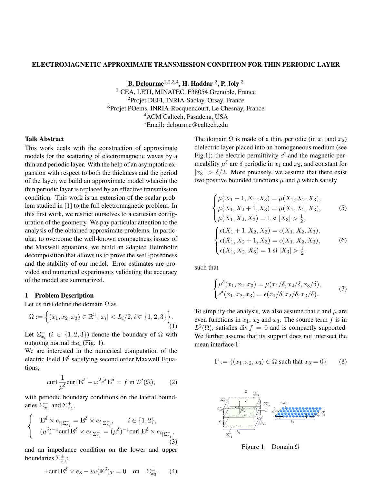### ELECTROMAGNETIC APPROXIMATE TRANSMISSION CONDITION FOR THIN PERIODIC LAYER

<u>B. Delourme $^{1,2,3,4}$ ,</u> H. Haddar  $^{2}$ , P. Joly  $^{3}$ <sup>1</sup> CEA, LETI, MINATEC, F38054 Grenoble, France <sup>2</sup>Projet DEFI, INRIA-Saclay, Orsay, France <sup>3</sup>Projet POems, INRIA-Rocquencourt, Le Chesnay, France <sup>4</sup>ACM Caltech, Pasadena, USA <sup>∗</sup>Email: delourme@caltech.edu

### Talk Abstract

This work deals with the construction of approximate models for the scattering of electromagnetic waves by a thin and periodic layer. With the help of an asymptotic expansion with respect to both the thickness and the period of the layer, we build an approximate model wherein the thin periodic layer is replaced by an effective transmission condition. This work is an extension of the scalar problem studied in [1] to the full electromagnetic problem. In this first work, we restrict ourselves to a cartesian configuration of the geometry. We pay particular attention to the analysis of the obtained approximate problems. In particular, to overcome the well-known compactness issues of the Maxwell equations, we build an adapted Helmholtz decomposition that allows us to prove the well-posedness and the stability of our model. Error estimates are provided and numerical experiments validating the accuracy of the model are summarized.

### 1 Problem Description

Let us first define the domain  $\Omega$  as

$$
\Omega := \Big\{ (x_1, x_2, x_3) \in \mathbb{R}^3, |x_i| < L_i/2, i \in \{1, 2, 3\} \Big\}.\tag{1}
$$

Let  $\Sigma_{x_i}^{\pm}$   $(i \in \{1,2,3\})$  denote the boundary of  $\Omega$  with outgoing normal  $\pm e_i$  (Fig. 1).

We are interested in the numerical computation of the electric Field  $\mathbf{E}^{\delta}$  satisfying second order Maxwell Equations,

$$
\operatorname{curl} \frac{1}{\mu^{\delta}} \operatorname{curl} \mathbf{E}^{\delta} - \omega^2 \epsilon^{\delta} \mathbf{E}^{\delta} = f \text{ in } \mathcal{D}'(\Omega), \qquad (2)
$$

with periodic boundary conditions on the lateral boundaries  $\Sigma_{x_1}^{\pm}$  and  $\Sigma_{x_2}^{\pm}$ ,

$$
\begin{cases} \mathbf{E}^{\delta} \times e_{i_{\mid \Sigma_{x_i}^+}} = \mathbf{E}^{\delta} \times e_{i_{\mid \Sigma_{x_i}^-}}, & i \in \{1, 2\}, \\ (\mu^{\delta})^{-1} \text{curl } \mathbf{E}^{\delta} \times e_{i_{\mid \Sigma_{x_i}^+}} = (\mu^{\delta})^{-1} \text{curl } \mathbf{E}^{\delta} \times e_{i_{\mid \Sigma_{x_i}^-}}, \end{cases}
$$
\n(3)

and an impedance condition on the lower and upper boundaries  $\Sigma_{x_3}^{\pm}$ :

$$
\pm \operatorname{curl} \mathbf{E}^{\delta} \times e_3 - i\omega (\mathbf{E}^{\delta})_T = 0 \quad \text{on} \quad \Sigma_{x_3}^{\pm}.
$$
 (4)

The domain  $\Omega$  is made of a thin, periodic (in  $x_1$  and  $x_2$ ) dielectric layer placed into an homogeneous medium (see Fig.1): the electric permittivity  $\epsilon^{\delta}$  and the magnetic permeability  $\mu^{\delta}$  are  $\delta$  periodic in  $x_1$  and  $x_2$ , and constant for  $|x_3| > \delta/2$ . More precisely, we assume that there exist two positive bounded functions  $\mu$  and  $\rho$  which satisfy

$$
\begin{cases}\n\mu(X_1 + 1, X_2, X_3) = \mu(X_1, X_2, X_3), \\
\mu(X_1, X_2 + 1, X_3) = \mu(X_1, X_2, X_3), \\
\mu(X_1, X_2, X_3) = 1 \text{ si } |X_3| > \frac{1}{2}, \\
\begin{cases}\n\epsilon(X_1 + 1, X_2, X_3) = \epsilon(X_1, X_2, X_3), \\
\epsilon(X_1, X_2 + 1, X_3) = \epsilon(X_1, X_2, X_3), \\
\epsilon(X_1, X_2, X_3) = 1 \text{ si } |X_3| > \frac{1}{2}.\n\end{cases}
$$
\n(6)

such that

$$
\begin{cases}\n\mu^{\delta}(x_1, x_2, x_3) = \mu(x_1/\delta, x_2/\delta, x_3/\delta), \\
\epsilon^{\delta}(x_1, x_2, x_3) = \epsilon(x_1/\delta, x_2/\delta, x_3/\delta).\n\end{cases} (7)
$$

To simplify the analysis, we also assume that  $\epsilon$  and  $\mu$  are even functions in  $x_1$ ,  $x_2$  and  $x_3$ . The source term f is in  $L^2(\Omega)$ , satisfies div  $f = 0$  and is compactly supported. We further assume that its support does not intersect the mean interface Γ

$$
\Gamma := \{(x_1, x_2, x_3) \in \Omega \text{ such that } x_3 = 0\}
$$
 (8)



Figure 1: Domain  $\Omega$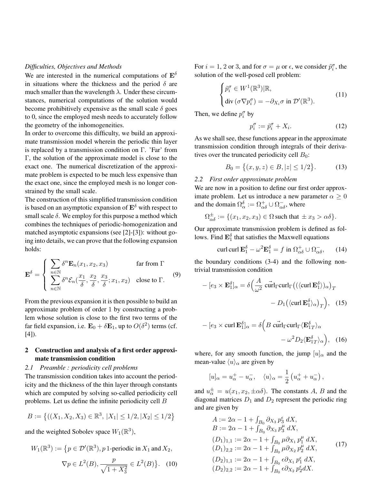### *Difficulties, Objectives and Methods*

We are interested in the numerical computations of  $\mathbf{E}^{\delta}$ in situations where the thickness and the period  $\delta$  are much smaller than the wavelength  $\lambda$ . Under these circumstances, numerical computations of the solution would become prohibitively expensive as the small scale  $\delta$  goes to 0, since the employed mesh needs to accurately follow the geometry of the inhomogeneities.

In order to overcome this difficulty, we build an approximate transmission model wherein the periodic thin layer is replaced by a transmission condition on Γ. 'Far' from Γ, the solution of the approximate model is close to the exact one. The numerical discretization of the approximate problem is expected to be much less expensive than the exact one, since the employed mesh is no longer constrained by the small scale.

The construction of this simplified transmission condition is based on an asymptotic expansion of  $\mathbf{E}^{\delta}$  with respect to small scale  $\delta$ . We employ for this purpose a method which combines the techniques of periodic-homogenization and matched asymptotic expansions (see [2]-[3]): without going into details, we can prove that the following expansion holds:

$$
\mathbf{E}^{\delta} = \begin{cases} \sum_{n \in \mathbb{N}} \delta^{n} \mathbf{E}_{n}(x_{1}, x_{2}, x_{3}) & \text{far from } \Gamma \\ \sum_{n \in \mathbb{N}} \delta^{n} \mathcal{E}_{n}(\frac{x_{1}}{\delta}, \frac{x_{2}}{\delta}, \frac{x_{3}}{\delta}; x_{1}, x_{2}) & \text{close to } \Gamma. \end{cases}
$$
 (9)

From the previous expansion it is then possible to build an approximate problem of order 1 by constructing a problem whose solution is close to the first two terms of the far field expansion, i.e.  $\mathbf{E}_0 + \delta \mathbf{E}_1$ , up to  $O(\delta^2)$  terms (cf. [4]).

## 2 Construction and analysis of a first order approximate transmission condition

## *2.1 Preamble : periodicity cell problems*

The transmission condition takes into account the periodicity and the thickness of the thin layer through constants which are computed by solving so-called periodicity cell problems. Let us define the infinite periodicity cell B

$$
B := \left\{ ((X_1, X_2, X_3) \in \mathbb{R}^3, |X_1| \le 1/2, |X_2| \le 1/2 \right\}
$$

and the weighted Sobolev space  $W_1(\mathbb{R}^3)$ ,

$$
W_1(\mathbb{R}^3) := \{ p \in \mathcal{D}'(\mathbb{R}^3), p \text{ 1-periodic in } X_1 \text{ and } X_2,
$$

$$
\nabla p \in L^{2}(B), \frac{p}{\sqrt{1+X_{3}^{2}}} \in L^{2}(B)\}. (10)
$$

For  $i = 1, 2$  or 3, and for  $\sigma = \mu$  or  $\epsilon$ , we consider  $\tilde{p}_i^{\sigma}$ , the solution of the well-posed cell problem:

$$
\begin{cases} \tilde{p}_i^{\sigma} \in W^1(\mathbb{R}^3) | \mathbb{R}, \\ \text{div} \, (\sigma \nabla p_i^{\sigma}) = -\partial_{X_i} \sigma \text{ in } \mathcal{D}'(\mathbb{R}^3). \end{cases} \tag{11}
$$

Then, we define  $p_i^{\sigma}$  by

$$
p_i^{\sigma} := \tilde{p}_i^{\sigma} + X_i. \tag{12}
$$

As we shall see, these functions appear in the approximate transmission condition through integrals of their derivatives over the truncated periodicity cell  $B_0$ :

$$
B_0 = \{(x, y, z) \in B, |z| \le 1/2\}.
$$
 (13)

# *2.2 First order approximate problem*

We are now in a position to define our first order approximate problem. Let us introduce a new parameter  $\alpha \geq 0$ and the domain  $\Omega_{\alpha}^{\delta} := \Omega_{\alpha\delta}^{+} \cup \Omega_{\alpha\delta}^{-}$ , where

$$
\Omega_{\alpha\delta}^{\pm} := \{ (x_1, x_2, x_3) \in \Omega \text{ such that } \pm x_3 > \alpha \delta \}.
$$

Our approximate transmission problem is defined as follows. Find  $\mathbf{E}_1^{\delta}$  that satisfies the Maxwell equations

$$
\operatorname{curl} \operatorname{curl} \mathbf{E}_1^{\delta} - \omega^2 \mathbf{E}_1^{\delta} = f \text{ in } \Omega_{\alpha\delta}^+ \cup \Omega_{\alpha\delta}^-,\qquad(14)
$$

the boundary conditions (3-4) and the following nontrivial transmission condition

$$
-[e_3 \times \mathbf{E}_1^{\delta}]_{\alpha} = \delta \Big(\frac{A}{\omega^2} \operatorname{curl}_{\Gamma} \big( (\langle \operatorname{curl} \mathbf{E}_1^{\delta} \rangle)_{\alpha} \big)_T - D_1 \big( \langle \operatorname{curl} \mathbf{E}_1^{\delta} \rangle_{\alpha} \big)_T \Big), \quad (15)
$$

$$
-[e_3 \times \text{curl } \mathbf{E}_1^{\delta}]_{\alpha} = \delta \Big( B \overrightarrow{\text{curl}}_{\Gamma} \text{curl}_{\Gamma} \langle \mathbf{E}_{1T}^{\delta} \rangle_{\alpha} - \omega^2 D_2 \langle \mathbf{E}_{1T}^{\delta} \rangle_{\alpha} \Big), \quad (16)
$$

where, for any smooth function, the jump  $[u]_{\alpha}$  and the mean-value  $\langle u \rangle_\alpha$  are given by

$$
[u]_{\alpha} = u_{\alpha}^+ - u_{\alpha}^-, \quad \langle u \rangle_{\alpha} = \frac{1}{2} \left( u_{\alpha}^+ + u_{\alpha}^- \right),
$$

and  $u_{\alpha}^{\pm} = u(x_1, x_2, \pm \alpha \delta)$ . The constants A, B and the diagonal matrices  $D_1$  and  $D_2$  represent the periodic ring and are given by

$$
A := 2\alpha - 1 + \int_{B_0} \partial_{X_3} p_3^{\epsilon} dX,
$$
  
\n
$$
B := 2\alpha - 1 + \int_{B_0} \partial_{X_3} p_3^{\mu} dX,
$$
  
\n
$$
(D_1)_{1,1} := 2\alpha - 1 + \int_{B_0} \mu \partial_{X_1} p_1^{\mu} dX,
$$
  
\n
$$
(D_1)_{2,2} := 2\alpha - 1 + \int_{B_0} \mu \partial_{X_2} p_2^{\mu} dX,
$$
  
\n
$$
(D_2)_{1,1} := 2\alpha - 1 + \int_{B_0} \epsilon \partial_{X_1} p_1^{\epsilon} dX,
$$
  
\n
$$
(D_2)_{2,2} := 2\alpha - 1 + \int_{B_0} \epsilon \partial_{X_2} p_2^{\epsilon} dX.
$$
 (17)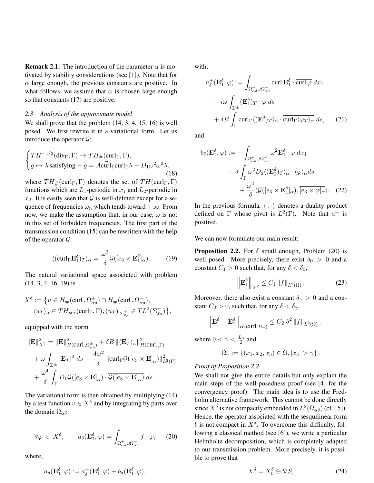**Remark 2.1.** The introduction of the parameter  $\alpha$  is motivated by stability considerations (see [1]). Note that for  $\alpha$  large enough, the previous constants are positive. In what follows, we assume that  $\alpha$  is chosen large enough so that constants (17) are positive.

### *2.3 Analysis of the approximate model*

We shall prove that the problem  $(14, 3, 4, 15, 16)$  is well posed. We first rewrite it in a variational form. Let us introduce the operator  $\mathcal{G}$ :

$$
\begin{cases}\nTH^{-1/2}(\text{div}_{\Gamma}, \Gamma) \to TH_{\#}(\text{curl}_{\Gamma}, \Gamma), \\
g \mapsto \lambda \text{ satisfying } -g = A \text{curl}_{\Gamma} \text{curl}_{\Gamma} \lambda - D_1 \omega^2 \omega^2 \lambda. \\
(18)\n\end{cases}
$$

where  $TH_{\#}(\text{curl}_\Gamma, \Gamma)$  denotes the set of  $TH(\text{curl}_\Gamma, \Gamma)$ functions which are  $L_1$ -periodic in  $x_1$  and  $L_2$ -periodic in  $x_2$ . It is easily seen that G is well-defined except for a sequence of frequencies  $\omega_n$  which tends toward +∞. From now, we make the assumption that, in our case,  $\omega$  is not in this set of forbidden frequencies. The first part of the transmission condition (15) can be rewritten with the help of the operator  $\mathcal{G}$ :

$$
\langle (\operatorname{curl}_{\Gamma} \mathbf{E}_{1}^{\delta})_{T} \rangle_{\alpha} = \frac{\omega^{2}}{\delta} \mathcal{G}([e_{3} \times \mathbf{E}_{1}^{\delta}]_{\alpha}). \tag{19}
$$

The natural variational space associated with problem (14, 3, 4, 16, 19) is

$$
X^{\delta} := \{ u \in H_{\#}(\text{curl}\, , \Omega_{\alpha\delta}^{+}) \cap H_{\#}(\text{curl}\, , \Omega_{\alpha\delta}^{-}),
$$
  

$$
\langle u_T \rangle_{\alpha} \in TH_{per}(\text{curl}_{\Gamma}, \Gamma), (u_T)_{|\Sigma_{x_3}^{\pm}} \in TL^2(\Sigma_{x_3}^{\pm}) \},
$$

equipped with the norm

$$
\|\mathbf{E}\|_{X^{\delta}}^{2} = \|\mathbf{E}\|_{H(\text{curl},\Omega_{\alpha\delta}^{\pm})}^{2} + \delta B \|\langle \mathbf{E}_{T} \rangle_{\alpha}\|_{H(\text{curl},\Gamma)}^{2}
$$

$$
+ \omega \int_{\Sigma^{\pm}} |\mathbf{E}_{T}|^{2} ds + \frac{A\omega^{2}}{\delta} \|\text{curl}_{\Gamma} \mathcal{G}([e_{3} \times \mathbf{E}]_{\alpha})\|_{L^{2}(\Gamma)}^{2}
$$

$$
+ \frac{\omega^{4}}{\delta} \int_{\Gamma} D_{1} \mathcal{G}([e_{3} \times \mathbf{E}]_{\alpha}) \cdot \overline{\mathcal{G}([e_{3} \times \mathbf{E}]_{\alpha})} ds.
$$

The variational form is then obtained by multiplying (14) by a test function  $v \in X^\delta$  and by integrating by parts over the domain  $\Omega_{\alpha\delta}$ :

$$
\forall \varphi \in X^{\delta}, \qquad a_{\delta}(\mathbf{E}_{1}^{\delta}, \varphi) = \int_{\Omega_{\alpha\delta}^{+} \cup \Omega_{\alpha\delta}^{-}} f \cdot \overline{\varphi}, \qquad (20)
$$

where,

$$
a_{\delta}(\mathbf{E}^{\delta}_1, \varphi) := a^+_{\delta}(\mathbf{E}^{\delta}_1, \varphi) + b_{\delta}(\mathbf{E}^{\delta}_1, \varphi),
$$

with,

$$
a_{\delta}^{+}(\mathbf{E}_{1}^{\delta}, \varphi) := \int_{\Omega_{\alpha\delta}^{+} \cup \Omega_{\alpha\delta}^{-}} \operatorname{curl} \mathbf{E}_{1}^{\delta} \cdot \overline{\operatorname{curl} \varphi} \, dx_{1}
$$

$$
- i\omega \int_{\Sigma^{\pm}} (\mathbf{E}_{1}^{\delta})_{T} \cdot \overline{\varphi} \, ds
$$

$$
+ \delta B \int_{\Gamma} \operatorname{curl}_{\Gamma} \langle (\mathbf{E}_{1}^{\delta})_{T} \rangle_{\alpha} \cdot \overline{\operatorname{curl}_{\Gamma} \langle \varphi_{T} \rangle_{\alpha}} \, ds, \qquad (21)
$$

and

$$
b_{\delta}(\mathbf{E}_{1}^{\delta}, \varphi) := -\int_{\Omega_{\alpha\delta}^{+} \cup \Omega_{\alpha\delta}^{-}} \omega^{2} \mathbf{E}_{1}^{\delta} \cdot \overline{\varphi} \, dx_{1}
$$

$$
- \delta \int_{\Gamma} \omega^{2} D_{2} \langle (\mathbf{E}_{1}^{\delta})_{T} \rangle_{\alpha} \cdot \overline{\langle \varphi \rangle_{\alpha}} ds + \frac{\omega^{2}}{\delta} \langle \mathcal{G}([e_{3} \times \mathbf{E}_{1}^{\delta}]_{\alpha}), \overline{[e_{3} \times \varphi]_{\alpha}} \rangle. \quad (22)
$$

In the previous formula,  $\langle \cdot, \cdot \rangle$  denotes a duality product defined on  $\Gamma$  whose pivot is  $L^2(\Gamma)$ . Note that  $a^+$  is positive.

We can now formulate our main result:

**Proposition 2.2.** For  $\delta$  small enough, Problem (20) is well posed. More precisely, there exist  $\delta_0 > 0$  and a constant  $C_1 > 0$  such that, for any  $\delta < \delta_0$ ,

$$
\left\| \mathbf{E}_1^{\delta} \right\|_{X^{\delta}} \le C_1 \left\| f \right\|_{L^2(\Omega)}.
$$
 (23)

Moreover, there also exist a constant  $\delta_{\gamma} > 0$  and a constant  $C_2 > 0$ , such that, for any  $\delta < \delta_{\gamma}$ ,

$$
\left\|\mathbf{E}^{\delta}-\mathbf{E}_{1}^{\delta}\right\|_{H(\mathrm{curl\,},\Omega_{\gamma})}\leq C_{2}\delta^{2}\left\|f\right\|_{L^{2}(\Omega)}.
$$

where  $0 < \gamma < \frac{L_3}{2}$  and

$$
\Omega_\gamma:=\left\{(x_1,x_2,x_3)\in\Omega,|x_3|>\gamma\right\}.
$$

### *Proof of Proposition 2.2*

We shall not give the entire details but only explain the main steps of the well-posedness proof (see [4] for the convergency proof). The main idea is to use the Fredholm alternative framework. This cannot be done directly since  $X^{\delta}$  is not compactly embedded in  $L^{2}(\Omega_{\alpha\delta})$  (cf. [5]). Hence, the operator associated with the sesquilinear form b is not compact in  $X^{\delta}$ . To overcome this difficulty, following a classical method (see [6]), we write a particular Helmholtz decomposition, which is completely adapted to our transmission problem. More precisely, it is possible to prove that

$$
X^{\delta} = X_0^{\delta} \oplus \nabla S, \tag{24}
$$